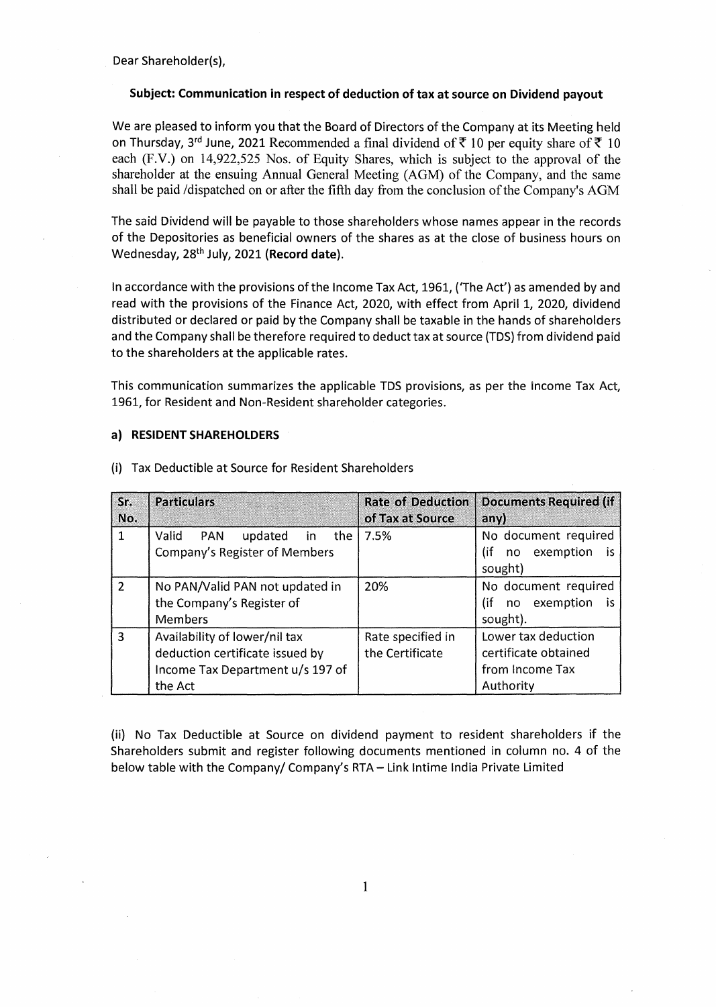Dear Shareholder(s),

## **Subject: Communication in respect of deduction of tax at source on Dividend payout**

We are pleased to inform you that the Board of Directors of the Company at its Meeting held on Thursday, 3<sup>rd</sup> June, 2021 Recommended a final dividend of  $\bar{z}$  10 per equity share of  $\bar{z}$  10 each (F.V.) on 14,922,525 Nos. of Equity Shares, which is subject to the approval of the shareholder at the ensuing Annual General Meeting (AGM) of the Company, and the same shall be paid /dispatched on or after the fifth day from the conclusion of the Company's AGM

The said Dividend will be payable to those shareholders whose names appear in the records of the Depositories as beneficial owners of the shares as at the close of business hours on Wednesday, 28th July, 2021 **(Record date).** 

In accordance with the provisions of the Income Tax Act, 1961, ( 1 The Act') as amended by and read with the provisions of the Finance Act, 2020, with effect from April 1, 2020, dividend distributed or declared or paid by the Company shall be taxable in the hands of shareholders and the Company shall be therefore required to deduct tax at source (TDS) from dividend paid to the shareholders at the applicable rates.

This communication summarizes the applicable TDS provisions, as per the Income Tax Act, 1961, for Resident and Non-Resident shareholder categories.

## **a) RESIDENT SHAREHOLDERS**

| Sr.<br>No.    | <b>Particulars</b>                                                            | <b>Rate of Deduction</b><br>of Tax at Source | <b>Documents Required (if</b><br>any)                  |
|---------------|-------------------------------------------------------------------------------|----------------------------------------------|--------------------------------------------------------|
| 1             | Valid<br>PAN<br>updated<br>the<br>in.<br><b>Company's Register of Members</b> | 7.5%                                         | No document required<br>(if<br>exemption<br>is.<br>no. |
|               |                                                                               |                                              | sought)                                                |
| $\mathcal{P}$ | No PAN/Valid PAN not updated in                                               | 20%                                          | No document required                                   |
|               | the Company's Register of                                                     |                                              | (if<br>exemption<br>no.<br>is.                         |
|               | <b>Members</b>                                                                |                                              | sought).                                               |
| $\mathbf{R}$  | Availability of lower/nil tax                                                 | Rate specified in                            | Lower tax deduction                                    |
|               | deduction certificate issued by                                               | the Certificate                              | certificate obtained                                   |
|               | Income Tax Department u/s 197 of                                              |                                              | from Income Tax                                        |
|               | the Act                                                                       |                                              | Authority                                              |

(i) Tax Deductible at Source for Resident Shareholders

(ii) No Tax Deductible at Source on dividend payment to resident shareholders if the Shareholders submit and register following documents mentioned in column no. 4 of the below table with the Company/ Company's RTA - Link Intime India Private Limited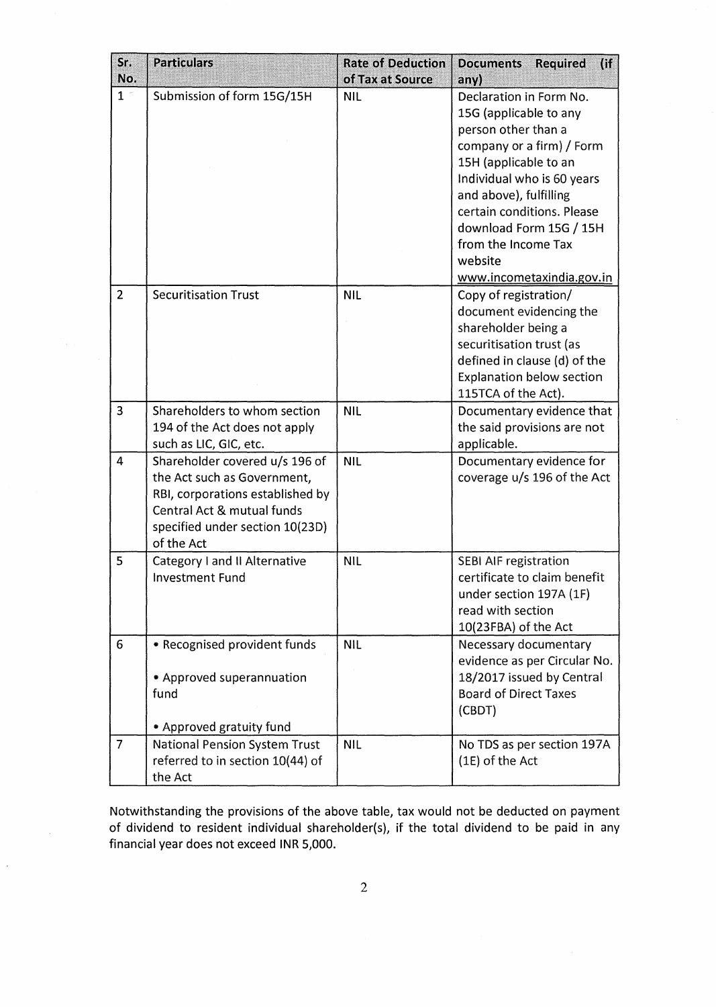| Sr.<br>No.     | <b>Particulars</b>                                                                                                                                                               | <b>Rate of Deduction</b><br>of Tax at Source | (i)<br><b>Documents</b><br><b>Required</b><br>any)                                                                                                                                                                                                                                                             |
|----------------|----------------------------------------------------------------------------------------------------------------------------------------------------------------------------------|----------------------------------------------|----------------------------------------------------------------------------------------------------------------------------------------------------------------------------------------------------------------------------------------------------------------------------------------------------------------|
| 1 <sup>1</sup> | Submission of form 15G/15H                                                                                                                                                       | <b>NIL</b>                                   | Declaration in Form No.<br>15G (applicable to any<br>person other than a<br>company or a firm) / Form<br>15H (applicable to an<br>Individual who is 60 years<br>and above), fulfilling<br>certain conditions. Please<br>download Form 15G / 15H<br>from the Income Tax<br>website<br>www.incometaxindia.gov.in |
| $\overline{2}$ | <b>Securitisation Trust</b>                                                                                                                                                      | <b>NIL</b>                                   | Copy of registration/<br>document evidencing the<br>shareholder being a<br>securitisation trust (as<br>defined in clause (d) of the<br><b>Explanation below section</b><br>115TCA of the Act).                                                                                                                 |
| 3              | Shareholders to whom section<br>194 of the Act does not apply<br>such as LIC, GIC, etc.                                                                                          | <b>NIL</b>                                   | Documentary evidence that<br>the said provisions are not<br>applicable.                                                                                                                                                                                                                                        |
| 4              | Shareholder covered u/s 196 of<br>the Act such as Government,<br>RBI, corporations established by<br>Central Act & mutual funds<br>specified under section 10(23D)<br>of the Act | <b>NIL</b>                                   | Documentary evidence for<br>coverage u/s 196 of the Act                                                                                                                                                                                                                                                        |
| 5              | <b>Category I and II Alternative</b><br><b>Investment Fund</b>                                                                                                                   | <b>NIL</b>                                   | <b>SEBI AIF registration</b><br>certificate to claim benefit<br>under section 197A (1F)<br>read with section<br>10(23FBA) of the Act                                                                                                                                                                           |
| $6\phantom{1}$ | • Recognised provident funds<br>• Approved superannuation<br>fund<br>• Approved gratuity fund                                                                                    | <b>NIL</b>                                   | Necessary documentary<br>evidence as per Circular No.<br>18/2017 issued by Central<br><b>Board of Direct Taxes</b><br>(CBDT)                                                                                                                                                                                   |
| $\overline{7}$ | <b>National Pension System Trust</b><br>referred to in section 10(44) of<br>the Act                                                                                              | <b>NIL</b>                                   | No TDS as per section 197A<br>(1E) of the Act                                                                                                                                                                                                                                                                  |

Notwithstanding the provisions of the above table, tax would not be deducted on payment of dividend to resident individual shareholder(s), if the total dividend to be paid in any financial year does not exceed INR 5,000.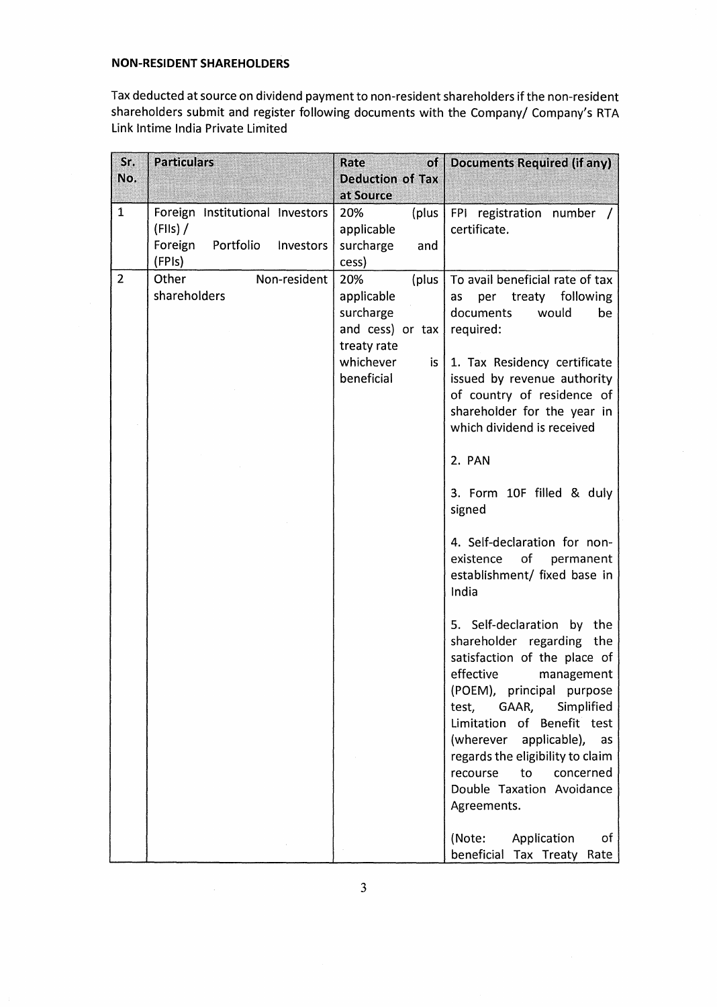## **NON-RESIDENT SHAREHOLDERS**

Tax deducted at source on dividend payment to non-resident shareholders if the non-resident shareholders submit and register following documents with the Company/ Company's RTA Link lntime India Private Limited

| Sr.<br>No.     | <b>Particulars</b>                                                                          | Rate<br>of<br><b>Deduction of Tax</b><br>at Source                                                            | Documents Required (if any)                                                                                                                                                                                                                                                                                                                                                                                                                                                                                                                                                                                                                                                                                                                                                                   |
|----------------|---------------------------------------------------------------------------------------------|---------------------------------------------------------------------------------------------------------------|-----------------------------------------------------------------------------------------------------------------------------------------------------------------------------------------------------------------------------------------------------------------------------------------------------------------------------------------------------------------------------------------------------------------------------------------------------------------------------------------------------------------------------------------------------------------------------------------------------------------------------------------------------------------------------------------------------------------------------------------------------------------------------------------------|
| 1              | Foreign Institutional Investors<br>$(HIS)$ /<br>Portfolio<br>Foreign<br>Investors<br>(FPIs) | 20%<br>(plus<br>applicable<br>surcharge<br>and<br>cess)                                                       | FPI registration number /<br>certificate.                                                                                                                                                                                                                                                                                                                                                                                                                                                                                                                                                                                                                                                                                                                                                     |
| $\overline{2}$ | Other<br>Non-resident<br>shareholders                                                       | 20%<br>(plus<br>applicable<br>surcharge<br>and cess) or tax  <br>treaty rate<br>whichever<br>is<br>beneficial | To avail beneficial rate of tax<br>treaty<br>following<br>per<br>as<br>documents<br>would<br>be<br>required:<br>1. Tax Residency certificate<br>issued by revenue authority<br>of country of residence of<br>shareholder for the year in<br>which dividend is received<br>2. PAN<br>3. Form 10F filled & duly<br>signed<br>4. Self-declaration for non-<br>of permanent<br>existence<br>establishment/ fixed base in<br>India<br>5. Self-declaration by the<br>shareholder regarding the<br>satisfaction of the place of<br>effective<br>management<br>(POEM), principal purpose<br>Simplified<br>GAAR,<br>test,<br>Limitation of Benefit test<br>(wherever applicable),<br>as<br>regards the eligibility to claim<br>recourse<br>to<br>concerned<br>Double Taxation Avoidance<br>Agreements. |
|                |                                                                                             |                                                                                                               | (Note:<br>Application<br>of<br>beneficial Tax Treaty<br>Rate                                                                                                                                                                                                                                                                                                                                                                                                                                                                                                                                                                                                                                                                                                                                  |

 $\sim$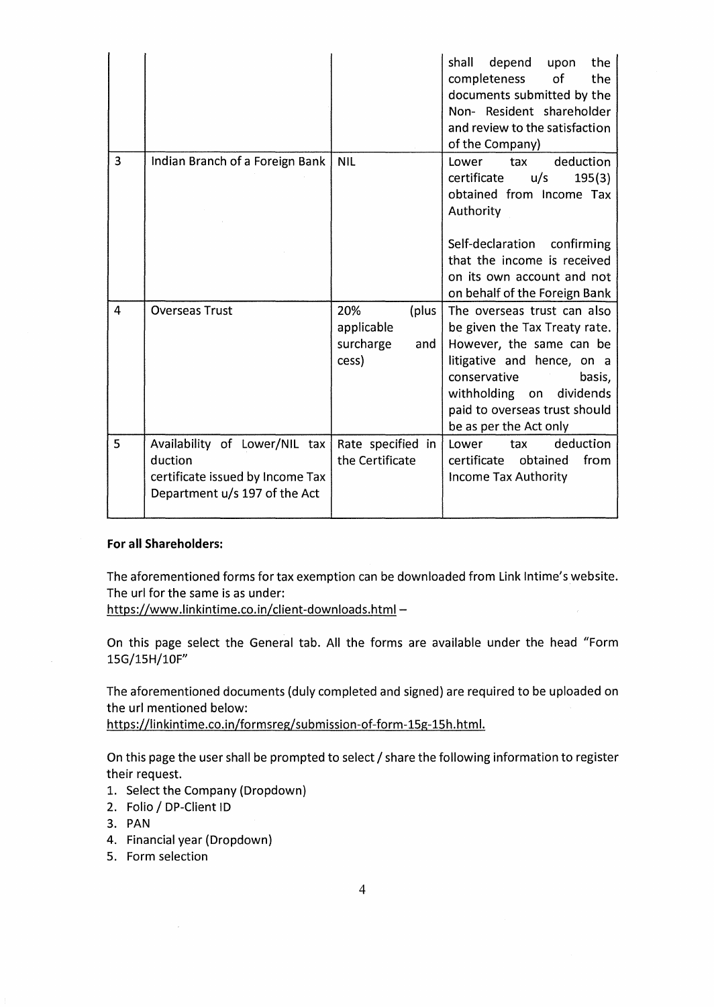|   |                                                                                                               |                                                         | depend<br>shall<br>upon<br>the<br>completeness<br>of<br>the<br>documents submitted by the<br>Non- Resident shareholder<br>and review to the satisfaction<br>of the Company)                                                             |
|---|---------------------------------------------------------------------------------------------------------------|---------------------------------------------------------|-----------------------------------------------------------------------------------------------------------------------------------------------------------------------------------------------------------------------------------------|
| 3 | Indian Branch of a Foreign Bank                                                                               | <b>NIL</b>                                              | deduction<br>Lower<br>tax<br>certificate<br>u/s<br>195(3)<br>obtained from Income Tax<br>Authority<br>Self-declaration confirming<br>that the income is received<br>on its own account and not                                          |
|   |                                                                                                               |                                                         | on behalf of the Foreign Bank                                                                                                                                                                                                           |
| 4 | <b>Overseas Trust</b>                                                                                         | 20%<br>(plus<br>applicable<br>surcharge<br>and<br>cess) | The overseas trust can also<br>be given the Tax Treaty rate.<br>However, the same can be<br>litigative and hence, on a<br>conservative<br>basis,<br>withholding on dividends<br>paid to overseas trust should<br>be as per the Act only |
| 5 | Availability of Lower/NIL tax<br>duction<br>certificate issued by Income Tax<br>Department u/s 197 of the Act | Rate specified in<br>the Certificate                    | deduction<br>Lower<br>tax<br>certificate<br>from<br>obtained<br>Income Tax Authority                                                                                                                                                    |

## **For all Shareholders:**

The aforementioned forms for tax exemption can be downloaded from Link Intime's website. The uri for the same is as under:

https://www.linkintime.co.in/client-downloads.html-

On this page select the General tab. All the forms are available under the head "Form 15G/15H/10F"

The aforementioned documents (duly completed and signed) are required to be uploaded on the uri mentioned below:

https://linkintime.co.in/formsreg/submission-of-form-15g-15h.html.

On this page the user shall be prompted to select / share the following information to register their request.

- 1. Select the Company (Dropdown)
- 2. Folio / DP-Client ID

 $\mathcal{A}$ 

- 3. PAN
- 4. Financial year (Dropdown)
- 5. Form selection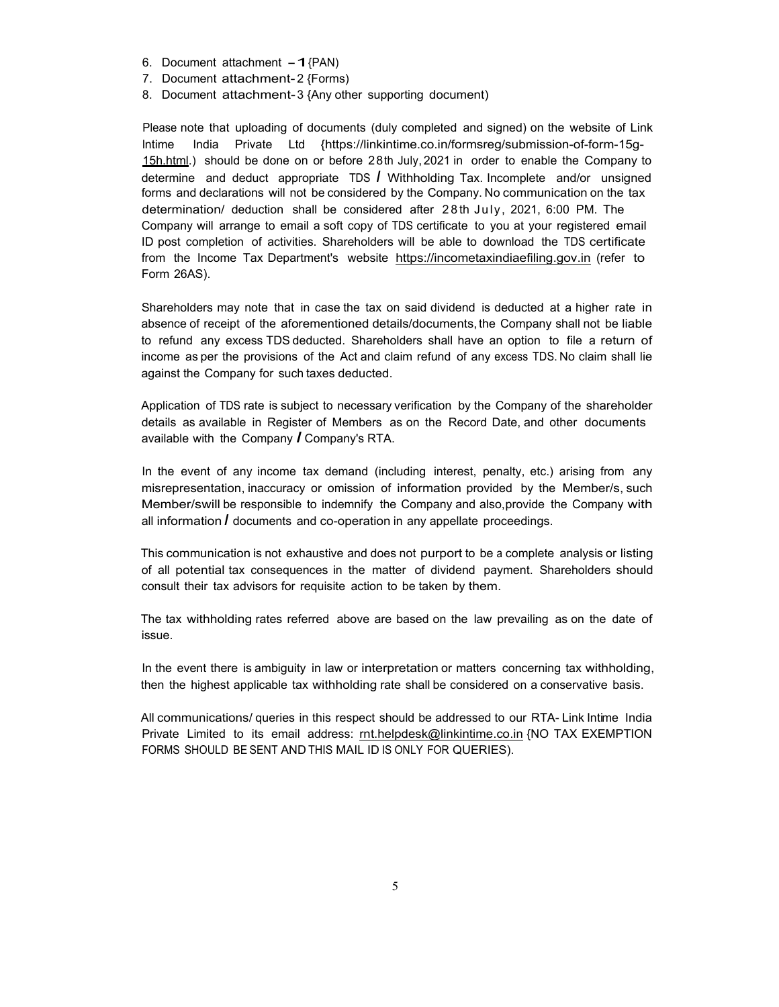- 6. Document attachment  $-1$ {PAN)
- 7. Document attachment- 2 {Forms)
- 8. Document attachment- 3 {Any other supporting document)

Please note that uploading of documents (duly completed and signed) on the website of Link lntime India Private Ltd {https://linkintime.co.in/formsreg/submission-of-form-15g-15h.html.) should be done on or before 28th July, 2021 in order to enable the Company to determine and deduct appropriate TDS *I* Withholding Tax. Incomplete and/or unsigned forms and declarations will not be considered by the Company. No communication on the tax determination/ deduction shall be considered after 2 8 th July, 2021, 6:00 PM. The Company will arrange to email a soft copy of TDS certificate to you at your registered email ID post completion of activities. Shareholders will be able to download the TDS certificate from the Income Tax Department's website https://incometaxindiaefiling.gov.in (refer to Form 26AS).

Shareholders may note that in case the tax on said dividend is deducted at a higher rate in absence of receipt of the aforementioned details/documents, the Company shall not be liable to refund any excess TDS deducted. Shareholders shall have an option to file a return of income as per the provisions of the Act and claim refund of any excess TDS. No claim shall lie against the Company for such taxes deducted.

Application of TDS rate is subject to necessary verification by the Company of the shareholder details as available in Register of Members as on the Record Date, and other documents available with the Company *I* Company's RTA.

In the event of any income tax demand (including interest, penalty, etc.) arising from any misrepresentation, inaccuracy or omission of information provided by the Member/s, such Member/swill be responsible to indemnify the Company and also,provide the Company with all information *I* documents and co-operation in any appellate proceedings.

This communication is not exhaustive and does not purport to be a complete analysis or listing of all potential tax consequences in the matter of dividend payment. Shareholders should consult their tax advisors for requisite action to be taken by them.

The tax withholding rates referred above are based on the law prevailing as on the date of issue.

In the event there is ambiguity in law or interpretation or matters concerning tax withholding, then the highest applicable tax withholding rate shall be considered on a conservative basis.

All communications/ queries in this respect should be addressed to our RTA- Link Intime India Private Limited to its email address: mt.helpdesk@linkintime.co.in {NO TAX EXEMPTION FORMS SHOULD BE SENT AND THIS MAIL ID IS ONLY FOR QUERIES).